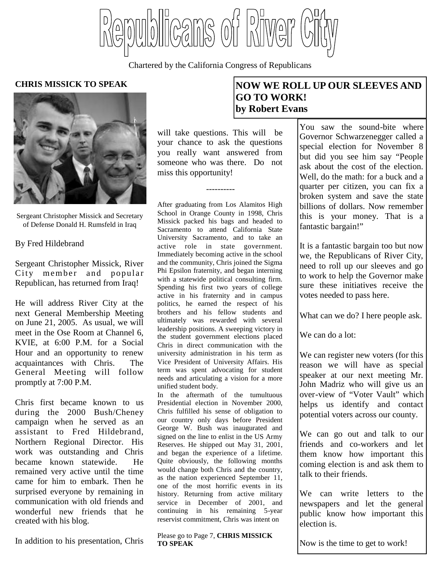Teams of Bitwer

Chartered by the California Congress of Republicans



Sergeant Christopher Missick and Secretary of Defense Donald H. Rumsfeld in Iraq

By Fred Hildebrand

Sergeant Christopher Missick, River City member and popular Republican, has returned from Iraq!

He will address River City at the next General Membership Meeting on June 21, 2005. As usual, we will meet in the Ose Room at Channel 6, KVIE, at 6:00 P.M. for a Social Hour and an opportunity to renew acquaintances with Chris. The General Meeting will follow promptly at 7:00 P.M.

Chris first became known to us during the 2000 Bush/Cheney campaign when he served as an assistant to Fred Hildebrand, Northern Regional Director. His work was outstanding and Chris became known statewide. He remained very active until the time came for him to embark. Then he surprised everyone by remaining in communication with old friends and wonderful new friends that he created with his blog.

In addition to his presentation, Chris

will take questions. This will be your chance to ask the questions you really want answered from someone who was there. Do not miss this opportunity!

----------

After graduating from Los Alamitos High School in Orange County in 1998, Chris Missick packed his bags and headed to Sacramento to attend California State University Sacramento, and to take an active role in state government. Immediately becoming active in the school and the community, Chris joined the Sigma Phi Epsilon fraternity, and began interning with a statewide political consulting firm. Spending his first two years of college active in his fraternity and in campus politics, he earned the respect of his brothers and his fellow students and ultimately was rewarded with several leadership positions. A sweeping victory in the student government elections placed Chris in direct communication with the university administration in his term as Vice President of University Affairs. His term was spent advocating for student needs and articulating a vision for a more unified student body.

In the aftermath of the tumultuous Presidential election in November 2000, Chris fulfilled his sense of obligation to our country only days before President George W. Bush was inaugurated and signed on the line to enlist in the US Army Reserves. He shipped out May 31, 2001, and began the experience of a lifetime. Quite obviously, the following months would change both Chris and the country, as the nation experienced September 11, one of the most horrific events in its history. Returning from active military service in December of 2001, and continuing in his remaining 5-year reservist commitment, Chris was intent on

#### Please go to Page 7, **CHRIS MISSICK TO SPEAK**

## **CHRIS MISSICK TO SPEAK NOW WE ROLL UP OUR SLEEVES AND GO TO WORK! by Robert Evans**

You saw the sound-bite where Governor Schwarzenegger called a special election for November 8 but did you see him say "People ask about the cost of the election. Well, do the math: for a buck and a quarter per citizen, you can fix a broken system and save the state billions of dollars. Now remember this is your money. That is a fantastic bargain!"

> It is a fantastic bargain too but now we, the Republicans of River City, need to roll up our sleeves and go to work to help the Governor make sure these initiatives receive the votes needed to pass here.

What can we do? I here people ask.

We can do a lot:

We can register new voters (for this reason we will have as special speaker at our next meeting Mr. John Madriz who will give us an over-view of "Voter Vault" which helps us identify and contact potential voters across our county.

We can go out and talk to our friends and co-workers and let them know how important this coming election is and ask them to talk to their friends.

We can write letters to the newspapers and let the general public know how important this election is.

Now is the time to get to work!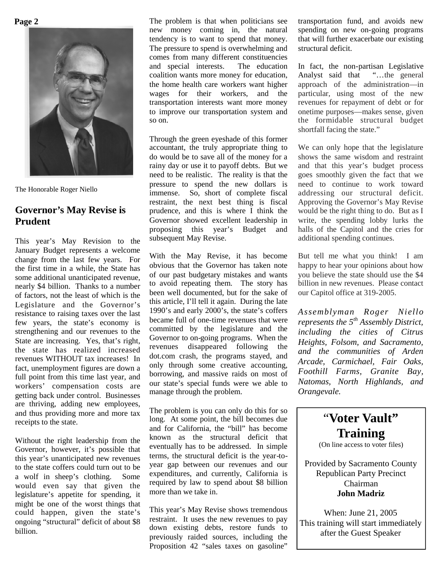**Page 2**



The Honorable Roger Niello

## **Governor's May Revise is Prudent**

This year's May Revision to the January Budget represents a welcome change from the last few years. For the first time in a while, the State has some additional unanticipated revenue, nearly \$4 billion. Thanks to a number of factors, not the least of which is the Legislature and the Governor's resistance to raising taxes over the last few years, the state's economy is strengthening and our revenues to the State are increasing. Yes, that's right, the state has realized increased revenues WITHOUT tax increases! In fact, unemployment figures are down a full point from this time last year, and workers' compensation costs are getting back under control. Businesses are thriving, adding new employees, and thus providing more and more tax receipts to the state.

Without the right leadership from the Governor, however, it's possible that this year's unanticipated new revenues to the state coffers could turn out to be a wolf in sheep's clothing. Some would even say that given the legislature's appetite for spending, it might be one of the worst things that could happen, given the state's ongoing "structural" deficit of about \$8 billion.

The problem is that when politicians see new money coming in, the natural tendency is to want to spend that money. The pressure to spend is overwhelming and comes from many different constituencies and special interests. The education coalition wants more money for education, the home health care workers want higher wages for their workers, and the transportation interests want more money to improve our transportation system and so on.

Through the green eyeshade of this former accountant, the truly appropriate thing to do would be to save all of the money for a rainy day or use it to payoff debts. But we need to be realistic. The reality is that the pressure to spend the new dollars is immense. So, short of complete fiscal restraint, the next best thing is fiscal prudence, and this is where I think the Governor showed excellent leadership in proposing this year's Budget and subsequent May Revise.

With the May Revise, it has become obvious that the Governor has taken note of our past budgetary mistakes and wants to avoid repeating them. The story has been well documented, but for the sake of this article, I'll tell it again. During the late 1990's and early 2000's, the state's coffers became full of one-time revenues that were committed by the legislature and the Governor to on-going programs. When the revenues disappeared following the dot.com crash, the programs stayed, and only through some creative accounting, borrowing, and massive raids on most of our state's special funds were we able to manage through the problem.

The problem is you can only do this for so long. At some point, the bill becomes due and for California, the "bill" has become known as the structural deficit that eventually has to be addressed. In simple terms, the structural deficit is the year-toyear gap between our revenues and our expenditures, and currently, California is required by law to spend about \$8 billion more than we take in.

This year's May Revise shows tremendous restraint. It uses the new revenues to pay down existing debts, restore funds to previously raided sources, including the Proposition 42 "sales taxes on gasoline"

transportation fund, and avoids new spending on new on-going programs that will further exacerbate our existing structural deficit.

In fact, the non-partisan Legislative Analyst said that "…the general approach of the administration—in particular, using most of the new revenues for repayment of debt or for onetime purposes—makes sense, given the formidable structural budget shortfall facing the state."

We can only hope that the legislature shows the same wisdom and restraint and that this year's budget process goes smoothly given the fact that we need to continue to work toward addressing our structural deficit. Approving the Governor's May Revise would be the right thing to do. But as I write, the spending lobby lurks the halls of the Capitol and the cries for additional spending continues.

But tell me what you think! I am happy to hear your opinions about how you believe the state should use the \$4 billion in new revenues. Please contact our Capitol office at 319-2005.

*Assemblyman Roger Niello represents the 5th Assembly District, including the cities of Citrus Heights, Folsom, and Sacramento, and the communities of Arden Arcade, Carmichael, Fair Oaks, Foothill Farms, Granite Bay, Natomas, North Highlands, and Orangevale.*

> "**Voter Vault" Training** (On line access to voter files)

Provided by Sacramento County Republican Party Precinct Chairman **John Madriz**

When: June 21, 2005 This training will start immediately after the Guest Speaker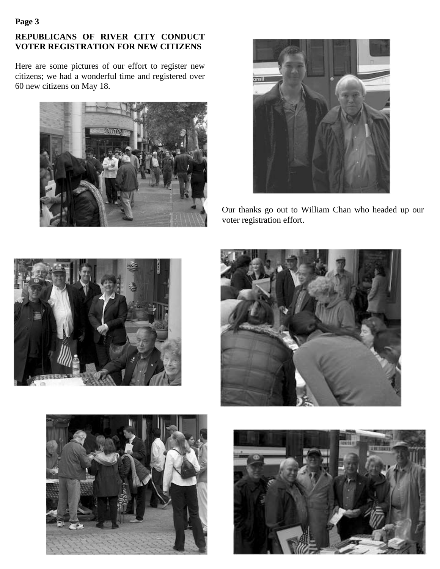## **Page 3**

## **REPUBLICANS OF RIVER CITY CONDUCT VOTER REGISTRATION FOR NEW CITIZENS**

Here are some pictures of our effort to register new citizens; we had a wonderful time and registered over 60 new citizens on May 18.





Our thanks go out to William Chan who headed up our voter registration effort.







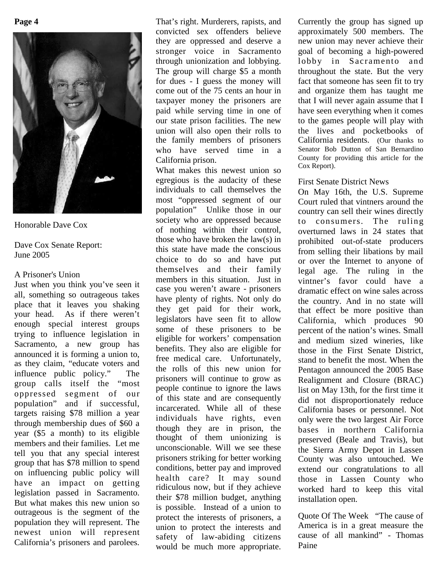

## Honorable Dave Cox

Dave Cox Senate Report: June 2005

## A Prisoner's Union

Just when you think you've seen it all, something so outrageous takes place that it leaves you shaking your head. As if there weren't enough special interest groups trying to influence legislation in Sacramento, a new group has announced it is forming a union to, as they claim, "educate voters and influence public policy." The group calls itself the "most oppressed segment of our population" and if successful, targets raising \$78 million a year through membership dues of \$60 a year (\$5 a month) to its eligible members and their families. Let me tell you that any special interest group that has \$78 million to spend on influencing public policy will have an impact on getting legislation passed in Sacramento. But what makes this new union so outrageous is the segment of the population they will represent. The newest union will represent California's prisoners and parolees.

That's right. Murderers, rapists, and convicted sex offenders believe they are oppressed and deserve a stronger voice in Sacramento through unionization and lobbying. The group will charge \$5 a month for dues - I guess the money will come out of the 75 cents an hour in taxpayer money the prisoners are paid while serving time in one of our state prison facilities. The new union will also open their rolls to the family members of prisoners who have served time in a California prison.

What makes this newest union so egregious is the audacity of these individuals to call themselves the most "oppressed segment of our population" Unlike those in our society who are oppressed because of nothing within their control, those who have broken the law(s) in this state have made the conscious choice to do so and have put themselves and their family members in this situation. Just in case you weren't aware - prisoners have plenty of rights. Not only do they get paid for their work, legislators have seen fit to allow some of these prisoners to be eligible for workers' compensation benefits. They also are eligible for free medical care. Unfortunately, the rolls of this new union for prisoners will continue to grow as people continue to ignore the laws of this state and are consequently incarcerated. While all of these individuals have rights, even though they are in prison, the thought of them unionizing is unconscionable. Will we see these prisoners striking for better working conditions, better pay and improved health care? It may sound ridiculous now, but if they achieve their \$78 million budget, anything is possible. Instead of a union to protect the interests of prisoners, a union to protect the interests and safety of law-abiding citizens would be much more appropriate. Currently the group has signed up approximately 500 members. The new union may never achieve their goal of becoming a high-powered lobby in Sacramento and throughout the state. But the very fact that someone has seen fit to try and organize them has taught me that I will never again assume that I have seen everything when it comes to the games people will play with the lives and pocketbooks of California residents. (Our thanks to Senator Bob Dutton of San Bernardino County for providing this article for the Cox Report).

## First Senate District News

On May 16th, the U.S. Supreme Court ruled that vintners around the country can sell their wines directly to consumers. The ruling overturned laws in 24 states that prohibited out-of-state producers from selling their libations by mail or over the Internet to anyone of legal age. The ruling in the vintner's favor could have a dramatic effect on wine sales across the country. And in no state will that effect be more positive than California, which produces 90 percent of the nation's wines. Small and medium sized wineries, like those in the First Senate District, stand to benefit the most. When the Pentagon announced the 2005 Base Realignment and Closure (BRAC) list on May 13th, for the first time it did not disproportionately reduce California bases or personnel. Not only were the two largest Air Force bases in northern California preserved (Beale and Travis), but the Sierra Army Depot in Lassen County was also untouched. We extend our congratulations to all those in Lassen County who worked hard to keep this vital installation open.

Quote Of The Week "The cause of America is in a great measure the cause of all mankind" - Thomas Paine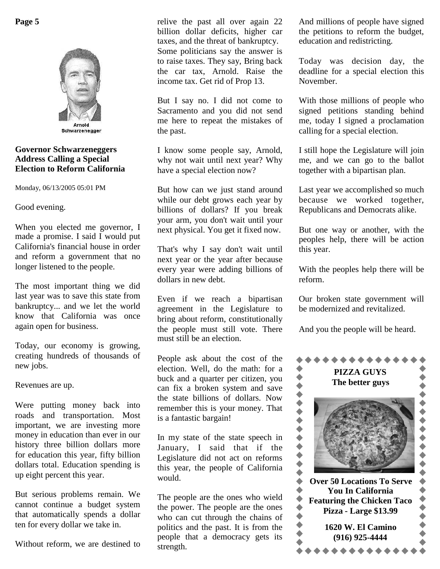

Schwarzenegger

#### **Governor Schwarzeneggers Address Calling a Special Election to Reform California**

Monday, 06/13/2005 05:01 PM

Good evening.

When you elected me governor, I made a promise. I said I would put California's financial house in order and reform a government that no longer listened to the people.

The most important thing we did last year was to save this state from bankruptcy... and we let the world know that California was once again open for business.

Today, our economy is growing, creating hundreds of thousands of new jobs.

Revenues are up.

Were putting money back into roads and transportation. Most important, we are investing more money in education than ever in our history three billion dollars more for education this year, fifty billion dollars total. Education spending is up eight percent this year.

But serious problems remain. We cannot continue a budget system that automatically spends a dollar ten for every dollar we take in.

Without reform, we are destined to

relive the past all over again 22 billion dollar deficits, higher car taxes, and the threat of bankruptcy. Some politicians say the answer is to raise taxes. They say, Bring back the car tax, Arnold. Raise the income tax. Get rid of Prop 13.

But I say no. I did not come to Sacramento and you did not send me here to repeat the mistakes of the past.

I know some people say, Arnold, why not wait until next year? Why have a special election now?

But how can we just stand around while our debt grows each year by billions of dollars? If you break your arm, you don't wait until your next physical. You get it fixed now.

That's why I say don't wait until next year or the year after because every year were adding billions of dollars in new debt.

Even if we reach a bipartisan agreement in the Legislature to bring about reform, constitutionally the people must still vote. There must still be an election.

People ask about the cost of the election. Well, do the math: for a<br>buck and a quarter per citizen, you<br>can fix a broken system and save buck and a quarter per citizen, you can fix a broken system and save the state billions of dollars. Now remember this is your money. That is a fantastic bargain! The state billions of dollars. Now<br>the state billions of dollars. Now<br>remember this is your money. That<br>is a fantastic bargain!<br>In my state of the state speech in<br>January. I said that if the

January, I said that if the Legislature did not act on reforms this year, the people of California would.

The people are the ones who wield the power. The people are the ones who can cut through the chains of  $\bullet$ politics and the past. It is from the people that a democracy gets its strength.

And millions of people have signed the petitions to reform the budget, education and redistricting.

Today was decision day, the deadline for a special election this November.

With those millions of people who signed petitions standing behind me, today I signed a proclamation calling for a special election.

I still hope the Legislature will join me, and we can go to the ballot together with a bipartisan plan.

Last year we accomplished so much because we worked together, Republicans and Democrats alike.

But one way or another, with the peoples help, there will be action this year.

With the peoples help there will be reform.

Our broken state government will be modernized and revitalized.

And you the people will be heard.

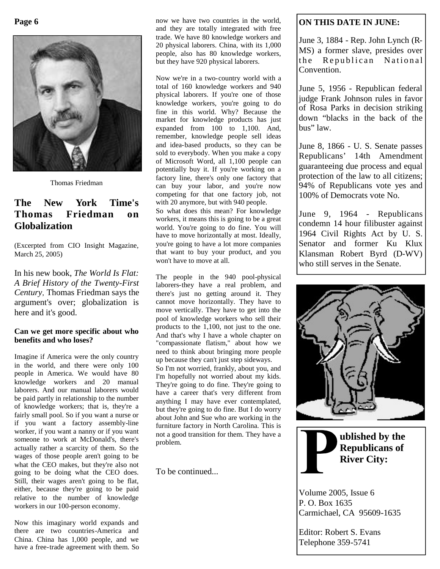

Thomas Friedman

## **The New York Time's Thomas Friedman on Globalization**

(Excerpted from CIO Insight Magazine, March 25, 2005)

In his new book, *The World Is Flat: A Brief History of the Twenty-First Century*, Thomas Friedman says the argument's over; globalization is here and it's good.

#### **Can we get more specific about who benefits and who loses?**

Imagine if America were the only country in the world, and there were only 100 people in America. We would have 80 knowledge workers and 20 manual laborers. And our manual laborers would be paid partly in relationship to the number of knowledge workers; that is, they're a fairly small pool. So if you want a nurse or if you want a factory assembly-line worker, if you want a nanny or if you want someone to work at McDonald's, there's actually rather a scarcity of them. So the wages of those people aren't going to be what the CEO makes, but they're also not going to be doing what the CEO does. Still, their wages aren't going to be flat, either, because they're going to be paid relative to the number of knowledge workers in our 100-person economy.

Now this imaginary world expands and there are two countries-America and China. China has 1,000 people, and we have a free-trade agreement with them. So now we have two countries in the world, and they are totally integrated with free trade. We have 80 knowledge workers and 20 physical laborers. China, with its 1,000 people, also has 80 knowledge workers, but they have 920 physical laborers.

Now we're in a two-country world with a total of 160 knowledge workers and 940 physical laborers. If you're one of those knowledge workers, you're going to do fine in this world. Why? Because the market for knowledge products has just expanded from 100 to 1,100. And, remember, knowledge people sell ideas and idea-based products, so they can be sold to everybody. When you make a copy of Microsoft Word, all 1,100 people can potentially buy it. If you're working on a factory line, there's only one factory that can buy your labor, and you're now competing for that one factory job, not with 20 anymore, but with 940 people.

So what does this mean? For knowledge workers, it means this is going to be a great world. You're going to do fine. You will have to move horizontally at most. Ideally, you're going to have a lot more companies that want to buy your product, and you won't have to move at all.

The people in the 940 pool-physical laborers-they have a real problem, and there's just no getting around it. They cannot move horizontally. They have to move vertically. They have to get into the pool of knowledge workers who sell their products to the 1,100, not just to the one. And that's why I have a whole chapter on "compassionate flatism," about how we need to think about bringing more people up because they can't just step sideways. So I'm not worried, frankly, about you, and I'm hopefully not worried about my kids. They're going to do fine. They're going to have a career that's very different from anything I may have ever contemplated, but they're going to do fine. But I do worry about John and Sue who are working in the furniture factory in North Carolina. This is not a good transition for them. They have a problem.

To be continued...

## **ON THIS DATE IN JUNE:**

June 3, 1884 - Rep. John Lynch (R-MS) a former slave, presides over the Republican National Convention.

June 5, 1956 - Republican federal judge Frank Johnson rules in favor of Rosa Parks in decision striking down "blacks in the back of the bus" law.

June 8, 1866 - U. S. Senate passes Republicans' 14th Amendment guaranteeing due process and equal protection of the law to all citizens; 94% of Republicans vote yes and 100% of Democrats vote No.

June 9, 1964 - Republicans condemn 14 hour filibuster against 1964 Civil Rights Act by U. S. Senator and former Ku Klux Klansman Robert Byrd (D-WV) who still serves in the Senate.





Volume 2005, Issue 6 P. O. Box 1635 Carmichael, CA 95609-1635

Editor: Robert S. Evans Telephone 359-5741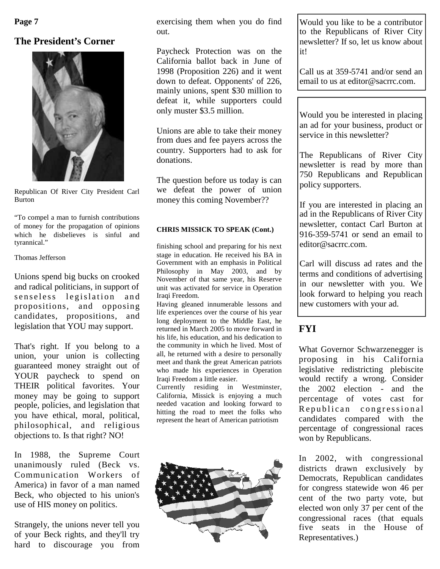**Page 7**

## **The President's Corner**



Republican Of River City President Carl Burton

"To compel a man to furnish contributions of money for the propagation of opinions which he disbelieves is sinful and tyrannical."

#### Thomas Jefferson

Unions spend big bucks on crooked and radical politicians, in support of senseless legislation and propositions, and opposing candidates, propositions, and legislation that YOU may support.

That's right. If you belong to a union, your union is collecting guaranteed money straight out of YOUR paycheck to spend on THEIR political favorites. Your money may be going to support people, policies, and legislation that you have ethical, moral, political, philosophical, and religious objections to. Is that right? NO!

In 1988, the Supreme Court unanimously ruled (Beck vs. Communication Workers of America) in favor of a man named Beck, who objected to his union's use of HIS money on politics.

Strangely, the unions never tell you of your Beck rights, and they'll try hard to discourage you from exercising them when you do find out.

Paycheck Protection was on the California ballot back in June of 1998 (Proposition 226) and it went down to defeat. Opponents' of 226, mainly unions, spent \$30 million to defeat it, while supporters could only muster \$3.5 million.

Unions are able to take their money from dues and fee payers across the country. Supporters had to ask for donations.

The question before us today is can we defeat the power of union money this coming November??

#### **CHRIS MISSICK TO SPEAK (Cont.)**

finishing school and preparing for his next stage in education. He received his BA in Government with an emphasis in Political Philosophy in May 2003, and by November of that same year, his Reserve unit was activated for service in Operation Iraqi Freedom.

Having gleaned innumerable lessons and life experiences over the course of his year long deployment to the Middle East, he returned in March 2005 to move forward in his life, his education, and his dedication to the community in which he lived. Most of all, he returned with a desire to personally meet and thank the great American patriots who made his experiences in Operation Iraqi Freedom a little easier.

Currently residing in Westminster, California, Missick is enjoying a much needed vacation and looking forward to hitting the road to meet the folks who represent the heart of American patriotism



Would you like to be a contributor to the Republicans of River City newsletter? If so, let us know about it!

Call us at 359-5741 and/or send an email to us at editor@sacrrc.com.

Would you be interested in placing an ad for your business, product or service in this newsletter?

The Republicans of River City newsletter is read by more than 750 Republicans and Republican policy supporters.

If you are interested in placing an ad in the Republicans of River City newsletter, contact Carl Burton at 916-359-5741 or send an email to editor@sacrrc.com.

Carl will discuss ad rates and the terms and conditions of advertising in our newsletter with you. We look forward to helping you reach new customers with your ad.

# **FYI**

What Governor Schwarzenegger is proposing in his California legislative redistricting plebiscite would rectify a wrong. Consider the 2002 election - and the percentage of votes cast for Republican congressional candidates compared with the percentage of congressional races won by Republicans.

In 2002, with congressional districts drawn exclusively by Democrats, Republican candidates for congress statewide won 46 per cent of the two party vote, but elected won only 37 per cent of the congressional races (that equals five seats in the House of Representatives.)